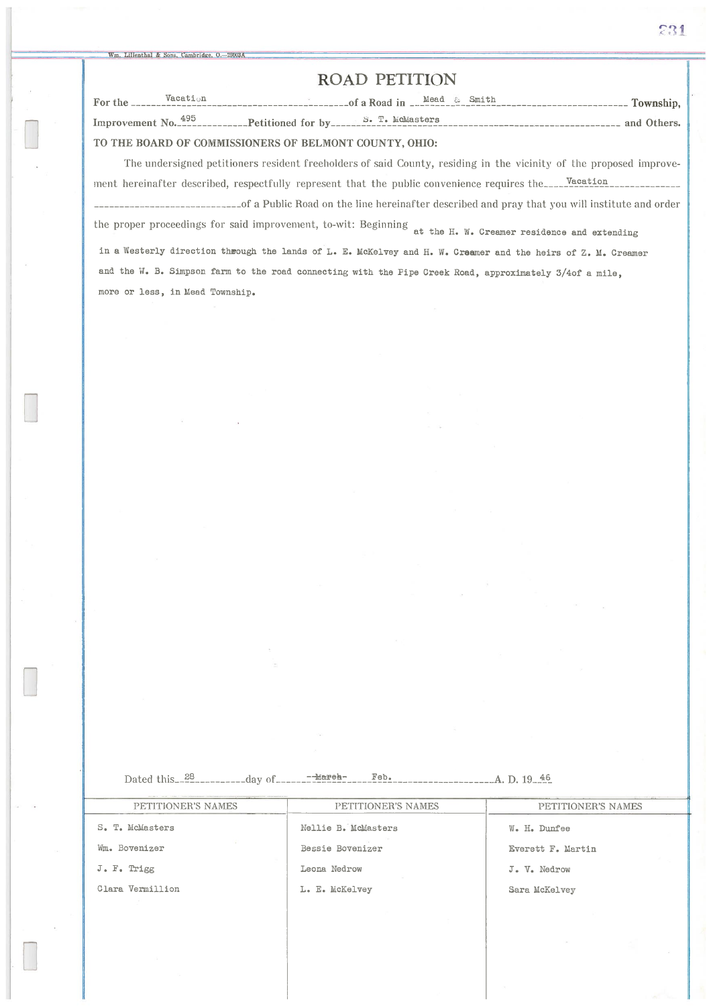## ROAD PETITION

|  | For the $\frac{\text{Vacation}}{\text{Vacation}}$                       |  |  |  |
|--|-------------------------------------------------------------------------|--|--|--|
|  | Improvement No. $495$<br>Improvement No. $495$<br>Improvement No. $495$ |  |  |  |
|  | <b>TO THE DO LDD, OR COMMICCIONING OR DRI MONTO COINTINY, OITIO</b>     |  |  |  |

## TO THE BOARD OF COMMISSIONERS OF BELMONT COUNTY, OHIO:

The undersigned petitioners resident freeholders of said County, residing in the vicinity of the proposed improvement hereinafter described, respectfully represent that the public convenience requires the\_\_\_\_\_Vacation \_\_\_\_\_\_of a Public Road on the line hereinafter described and pray that you will institute and order the proper proceedings for said improvement, to-wit: Beginning at the H. W. Creamer residence and extending in <sup>a</sup> Westerly direction through the lands of L. E. McKelvey and H. W. Creamer and the heirs of Z. M. Creamer and the W. B. Simpson farm to the road connecting with the Pipe Creek Road, approximately 3/4of a mile, more or less, in Mead Township.

Dated this  $28$   $-29$   $-120$  of  $-122$   $-160$   $-19$   $-10$   $-10$   $-10$ 

| PETITIONER'S NAMES | PETITIONER'S NAMES  | PETITIONER'S NAMES |
|--------------------|---------------------|--------------------|
| S. T. McMasters    | Nellie B. McMasters | W. H. Dunfee       |
| Wm. Bovenizer      | Bessie Bovenizer    | Everett F. Martin  |
| J. F. Trigg        | Leona Nedrow        | J. V. Nedrow       |
| Clara Vermillion   | L. E. McKelvey      | Sara McKelvey      |
|                    |                     |                    |
|                    |                     |                    |
|                    |                     |                    |
|                    |                     |                    |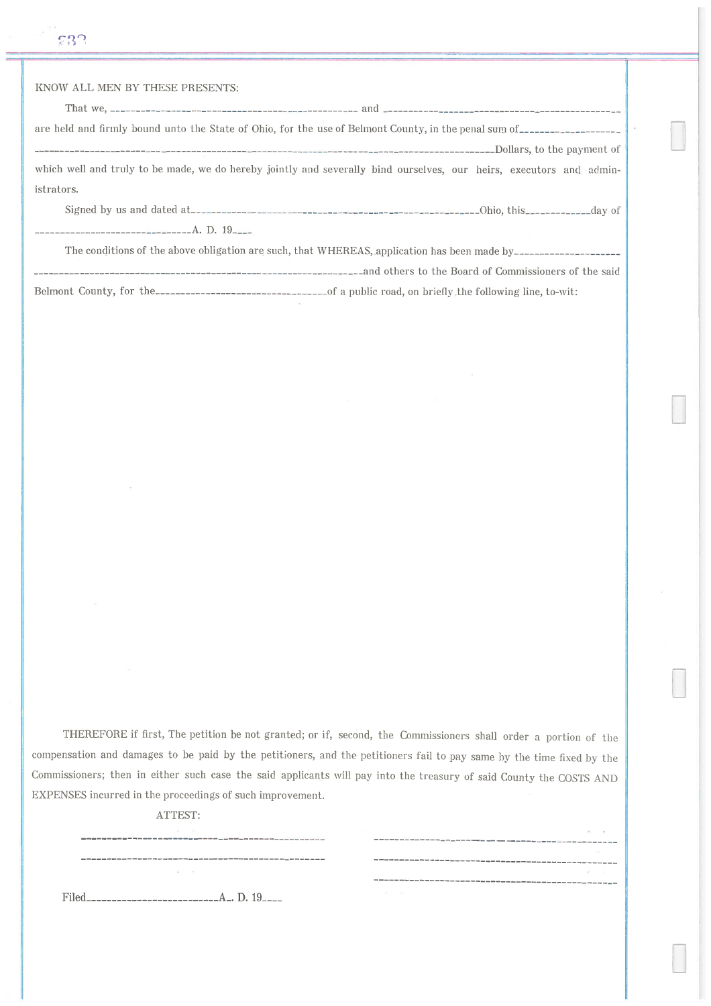| KNOW ALL MEN BY THESE PRESENTS:                                                                                     |  |  |  |  |  |
|---------------------------------------------------------------------------------------------------------------------|--|--|--|--|--|
|                                                                                                                     |  |  |  |  |  |
| are held and firmly bound unto the State of Ohio, for the use of Belmont County, in the penal sum of                |  |  |  |  |  |
|                                                                                                                     |  |  |  |  |  |
| which well and truly to be made, we do hereby jointly and severally bind ourselves, our heirs, executors and admin- |  |  |  |  |  |
| istrators.                                                                                                          |  |  |  |  |  |
|                                                                                                                     |  |  |  |  |  |
|                                                                                                                     |  |  |  |  |  |
| The conditions of the above obligation are such, that WHEREAS, application has been made by                         |  |  |  |  |  |
|                                                                                                                     |  |  |  |  |  |
| Belmont County, for the _____________________________of a public road, on briefly the following line, to-wit:       |  |  |  |  |  |

 $\sim$ 

 $\sim$ 

THEREFORE if first, The petition be not granted; or if, second, the Commissioners shall order <sup>a</sup> portion of the compensation and damages to be paid by the petitioners, and the petitioners fail to pay same by the time fixed by the Commissioners; then in either such case the said applicants will pay into the treasury of said County the COSTS AND EXPENSES incurred in the proceedings of such improvement. ATTEST: Filed A\_. D. 19\_\_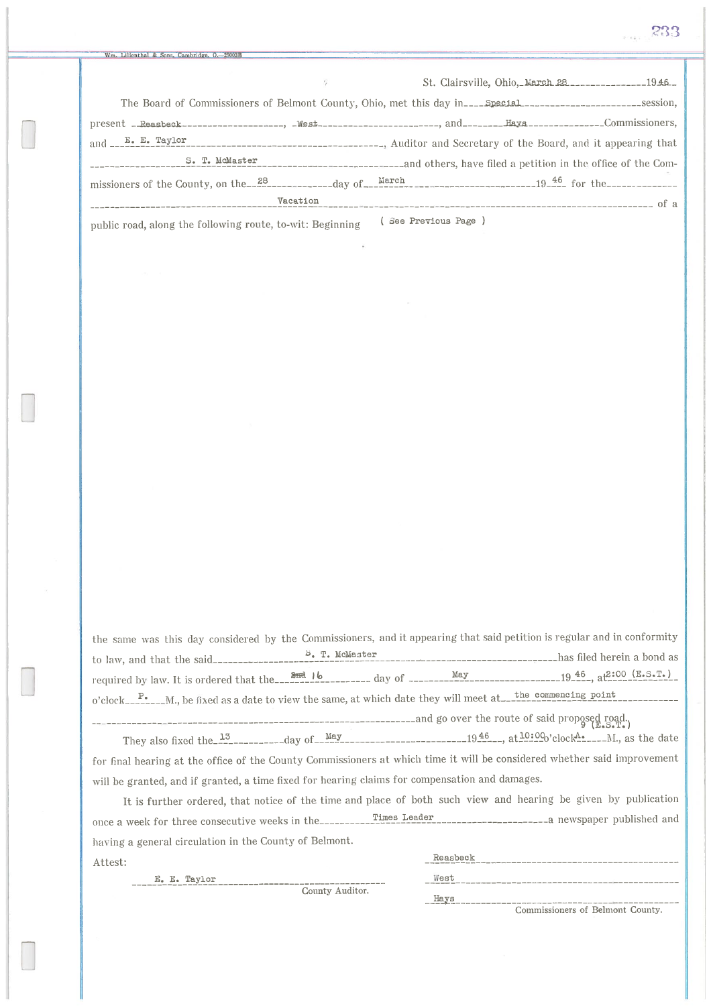$\mathcal{D} = \mathcal{C}(\mathcal{L}_1)$ 

|                               | St. Clairsville, Ohio, March 28                                                                                                  |
|-------------------------------|----------------------------------------------------------------------------------------------------------------------------------|
|                               | The Board of Commissioners of Belmont County, Ohio, met this day in____Special_______________________session,                    |
|                               | present Reasbeck --------------------, West ---------------------, and ------- Hays ------------Commissioners,                   |
|                               |                                                                                                                                  |
| _____________________________ |                                                                                                                                  |
|                               | missioners of the County, on the $^{28}$ $^{18}$ $^{10}$ $^{10}$ $^{10}$ $^{10}$ $^{10}$ $^{10}$ $^{10}$ $^{10}$ $^{10}$ for the |
| Vacation                      |                                                                                                                                  |
|                               |                                                                                                                                  |

 $\sim$  10

public road, along the following route, to-wit: Beginning C Previous Page

Wm. Lilienthal & Sons. Cambridge. O. 25003B

| the same was this day considered by the Commissioners, and it appearing that said petition is regular and in conformity                                                     |  |  |  |                                               |  |  |  |
|-----------------------------------------------------------------------------------------------------------------------------------------------------------------------------|--|--|--|-----------------------------------------------|--|--|--|
|                                                                                                                                                                             |  |  |  | Free extending the filed herein a bond as     |  |  |  |
| required by law. It is ordered that the $\frac{3\pi d}{d}$ /6 $\frac{16}{d}$ day of $\frac{16\pi}{d}$ may $\frac{46}{d}$ = $\frac{19.46}{d}$ , at $\frac{2:00}{d}$ (E.S.T.) |  |  |  |                                               |  |  |  |
| the commencing point<br>o'clock________M., be fixed as a date to view the same, at which date they will meet at__                                                           |  |  |  |                                               |  |  |  |
|                                                                                                                                                                             |  |  |  | Land go over the route of said proposed road. |  |  |  |
|                                                                                                                                                                             |  |  |  |                                               |  |  |  |

t

for final hearing at the office of the County Commissioners at which time it will be considered whether said improvement will be granted, and if granted, a time fixed for hearing claims for compensation and damages. It is further ordered, that notice of the time and place of both such view and hearing be given by publication once <sup>a</sup> week for three consecutive weeks in the 9\_d- <sup>a</sup> newspaper published and having a general circulation in the County of Belmont. Attest: Reasbeck experience and the set of the set of the set of the set of the set of the set of the set of the set of the set of the set of the set of the set of the set of the set of the set of the set of the set of the \_\_\_\_\_\_\_\_\_\_\_\_\_\_\_\_\_\_\_\_\_\_\_\_\_\_\_\_\_\_\_\_\_\_ B. B. Taylor West County Auditor. Hays Commissioners of Belmont County.

H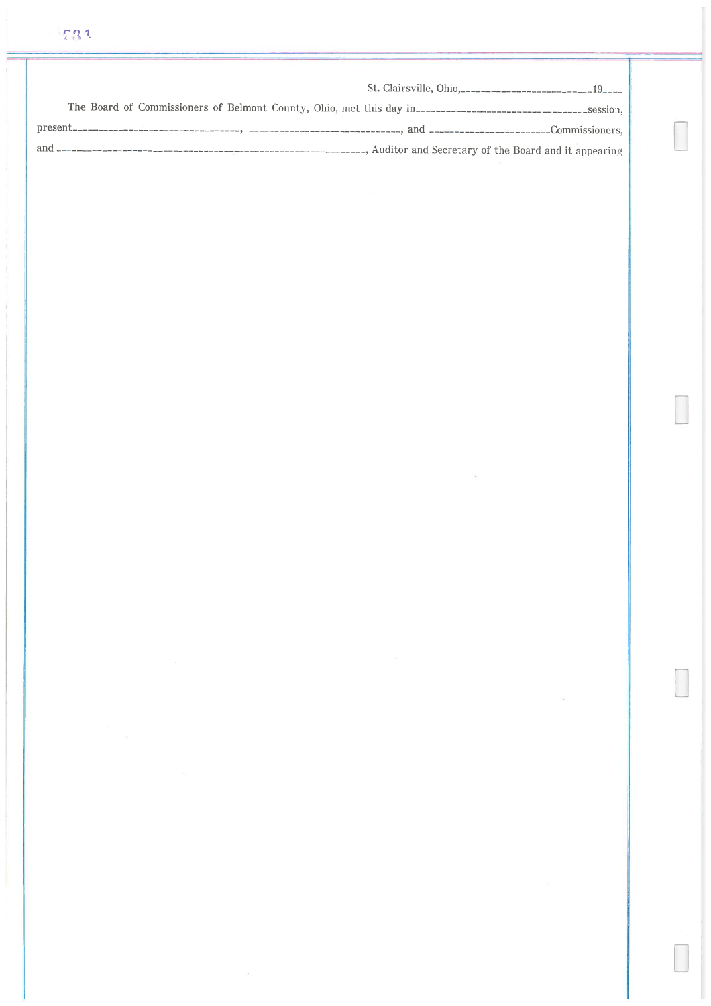## $5234$

 $\infty$ 

|     | St. Clairsville, Ohio,                                  |  |
|-----|---------------------------------------------------------|--|
|     |                                                         |  |
|     |                                                         |  |
| and | --, Auditor and Secretary of the Board and it appearing |  |

E



 $\langle \cdot \rangle$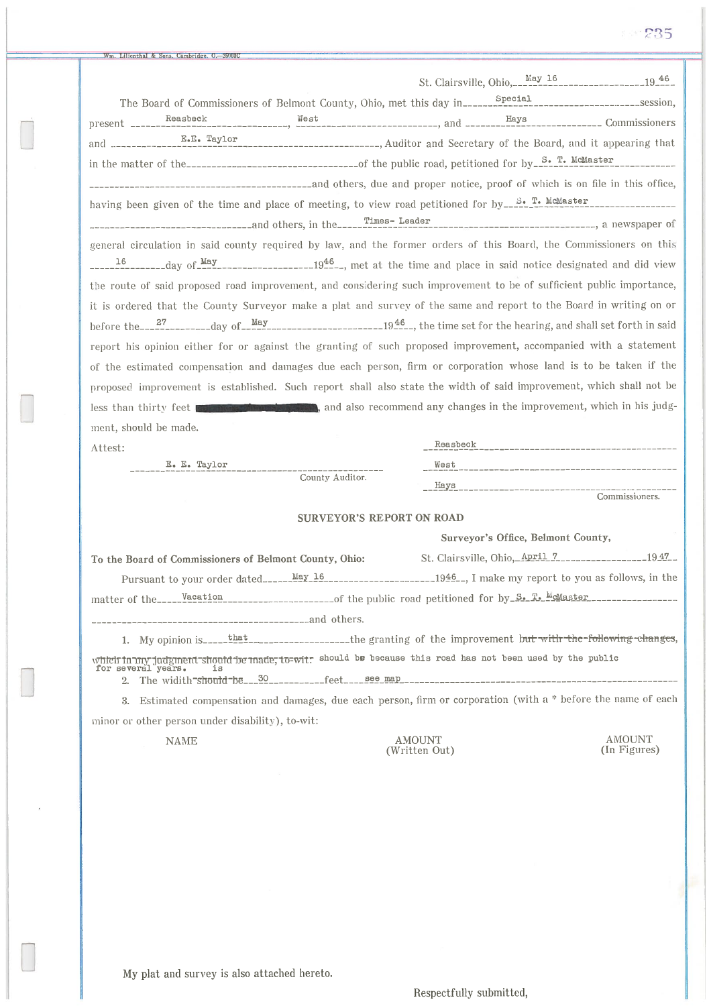## $z \approx 235$

l,

| <u>Wm, Lillenthal &amp; Sons, Cambridge, O. ZawaC</u>                                                                                                           |                                                                                                                                                                                                                                                                                                                                                                                                                           |                                                           |  |  |  |  |  |
|-----------------------------------------------------------------------------------------------------------------------------------------------------------------|---------------------------------------------------------------------------------------------------------------------------------------------------------------------------------------------------------------------------------------------------------------------------------------------------------------------------------------------------------------------------------------------------------------------------|-----------------------------------------------------------|--|--|--|--|--|
|                                                                                                                                                                 |                                                                                                                                                                                                                                                                                                                                                                                                                           | St. Clairsville, Ohio, <u>May 16</u><br>$16$<br>$10^{46}$ |  |  |  |  |  |
|                                                                                                                                                                 |                                                                                                                                                                                                                                                                                                                                                                                                                           |                                                           |  |  |  |  |  |
|                                                                                                                                                                 |                                                                                                                                                                                                                                                                                                                                                                                                                           |                                                           |  |  |  |  |  |
|                                                                                                                                                                 |                                                                                                                                                                                                                                                                                                                                                                                                                           |                                                           |  |  |  |  |  |
|                                                                                                                                                                 |                                                                                                                                                                                                                                                                                                                                                                                                                           |                                                           |  |  |  |  |  |
|                                                                                                                                                                 |                                                                                                                                                                                                                                                                                                                                                                                                                           |                                                           |  |  |  |  |  |
| having been given of the time and place of meeting, to view road petitioned for by <sub>-</sub> S. T. McMaster                                                  |                                                                                                                                                                                                                                                                                                                                                                                                                           |                                                           |  |  |  |  |  |
|                                                                                                                                                                 |                                                                                                                                                                                                                                                                                                                                                                                                                           |                                                           |  |  |  |  |  |
|                                                                                                                                                                 |                                                                                                                                                                                                                                                                                                                                                                                                                           |                                                           |  |  |  |  |  |
|                                                                                                                                                                 | general circulation in said county required by law, and the former orders of this Board, the Commissioners on this<br>$\frac{16}{16}$ $\frac{16}{16}$ and $\frac{16}{16}$ $\frac{16}{16}$ $\frac{16}{16}$ $\frac{16}{16}$ $\frac{16}{16}$ $\frac{16}{16}$ $\frac{16}{16}$ $\frac{16}{16}$ $\frac{16}{16}$ $\frac{16}{16}$ $\frac{16}{16}$ $\frac{16}{16}$ $\frac{16}{16}$ $\frac{16}{16}$ $\frac{16}{16}$ $\frac{16}{16}$ |                                                           |  |  |  |  |  |
| the route of said proposed road improvement, and considering such improvement to be of sufficient public importance,                                            |                                                                                                                                                                                                                                                                                                                                                                                                                           |                                                           |  |  |  |  |  |
| it is ordered that the County Surveyor make a plat and survey of the same and report to the Board in writing on or                                              |                                                                                                                                                                                                                                                                                                                                                                                                                           |                                                           |  |  |  |  |  |
|                                                                                                                                                                 |                                                                                                                                                                                                                                                                                                                                                                                                                           |                                                           |  |  |  |  |  |
| before the $27$ and shall set forth in said<br>report his opinion either for or against the granting of such proposed improvement, accompanied with a statement |                                                                                                                                                                                                                                                                                                                                                                                                                           |                                                           |  |  |  |  |  |
| of the estimated compensation and damages due each person, firm or corporation whose land is to be taken if the                                                 |                                                                                                                                                                                                                                                                                                                                                                                                                           |                                                           |  |  |  |  |  |
| proposed improvement is established. Such report shall also state the width of said improvement, which shall not be                                             |                                                                                                                                                                                                                                                                                                                                                                                                                           |                                                           |  |  |  |  |  |
| less than thirty feet with the state of the state of and also recommend any changes in the improvement, which in his judg-                                      |                                                                                                                                                                                                                                                                                                                                                                                                                           |                                                           |  |  |  |  |  |
| ment, should be made.                                                                                                                                           |                                                                                                                                                                                                                                                                                                                                                                                                                           |                                                           |  |  |  |  |  |
| Attest:                                                                                                                                                         | Reasbeck                                                                                                                                                                                                                                                                                                                                                                                                                  |                                                           |  |  |  |  |  |
| E. E. Taylor                                                                                                                                                    | West                                                                                                                                                                                                                                                                                                                                                                                                                      |                                                           |  |  |  |  |  |
|                                                                                                                                                                 | County Auditor.                                                                                                                                                                                                                                                                                                                                                                                                           |                                                           |  |  |  |  |  |
|                                                                                                                                                                 |                                                                                                                                                                                                                                                                                                                                                                                                                           | Commissioners.                                            |  |  |  |  |  |
|                                                                                                                                                                 | <b>SURVEYOR'S REPORT ON ROAD</b>                                                                                                                                                                                                                                                                                                                                                                                          |                                                           |  |  |  |  |  |
|                                                                                                                                                                 | Surveyor's Office, Belmont County,                                                                                                                                                                                                                                                                                                                                                                                        |                                                           |  |  |  |  |  |
| To the Board of Commissioners of Belmont County, Ohio:                                                                                                          |                                                                                                                                                                                                                                                                                                                                                                                                                           |                                                           |  |  |  |  |  |
|                                                                                                                                                                 | Pursuant to your order dated_____ <u>May 16</u> _________________________1946__, I make my report to you as follows, in the                                                                                                                                                                                                                                                                                               |                                                           |  |  |  |  |  |
|                                                                                                                                                                 |                                                                                                                                                                                                                                                                                                                                                                                                                           |                                                           |  |  |  |  |  |
|                                                                                                                                                                 |                                                                                                                                                                                                                                                                                                                                                                                                                           |                                                           |  |  |  |  |  |
|                                                                                                                                                                 |                                                                                                                                                                                                                                                                                                                                                                                                                           |                                                           |  |  |  |  |  |
| which in my judgment should be made, to-wit. should be because this road has not been used by the public<br>for several years. is                               |                                                                                                                                                                                                                                                                                                                                                                                                                           |                                                           |  |  |  |  |  |
|                                                                                                                                                                 |                                                                                                                                                                                                                                                                                                                                                                                                                           |                                                           |  |  |  |  |  |
| 3. Estimated compensation and damages, due each person, firm or corporation (with a * before the name of each                                                   |                                                                                                                                                                                                                                                                                                                                                                                                                           |                                                           |  |  |  |  |  |
| minor or other person under disability), to-wit:                                                                                                                |                                                                                                                                                                                                                                                                                                                                                                                                                           |                                                           |  |  |  |  |  |
| <b>NAME</b>                                                                                                                                                     | <b>AMOUNT</b><br>(Written Out)                                                                                                                                                                                                                                                                                                                                                                                            | <b>AMOUNT</b><br>(In Figures)                             |  |  |  |  |  |

My plat and survey is also attached hereto.

Wm. Lilienthal & Sons, Cambridge, O.-25003C

Respectfully submitted,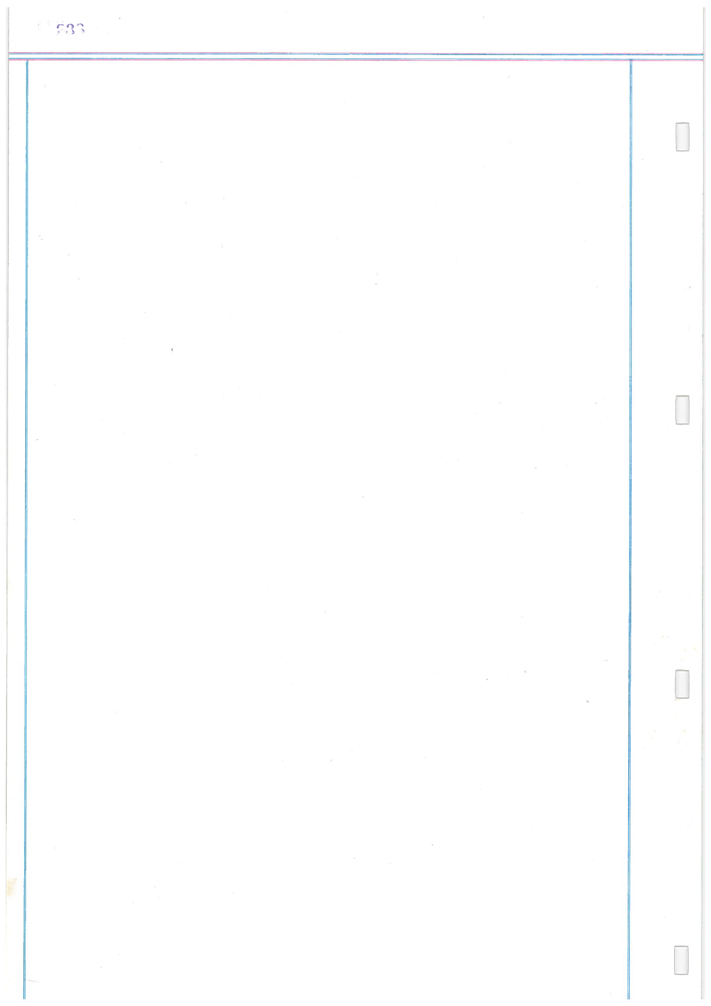

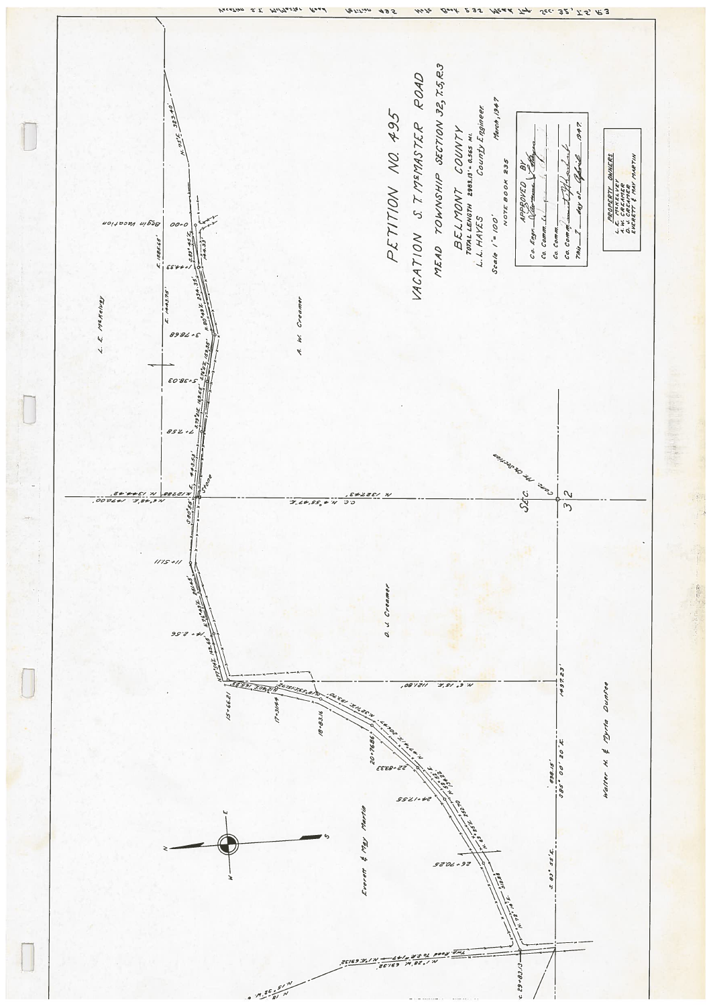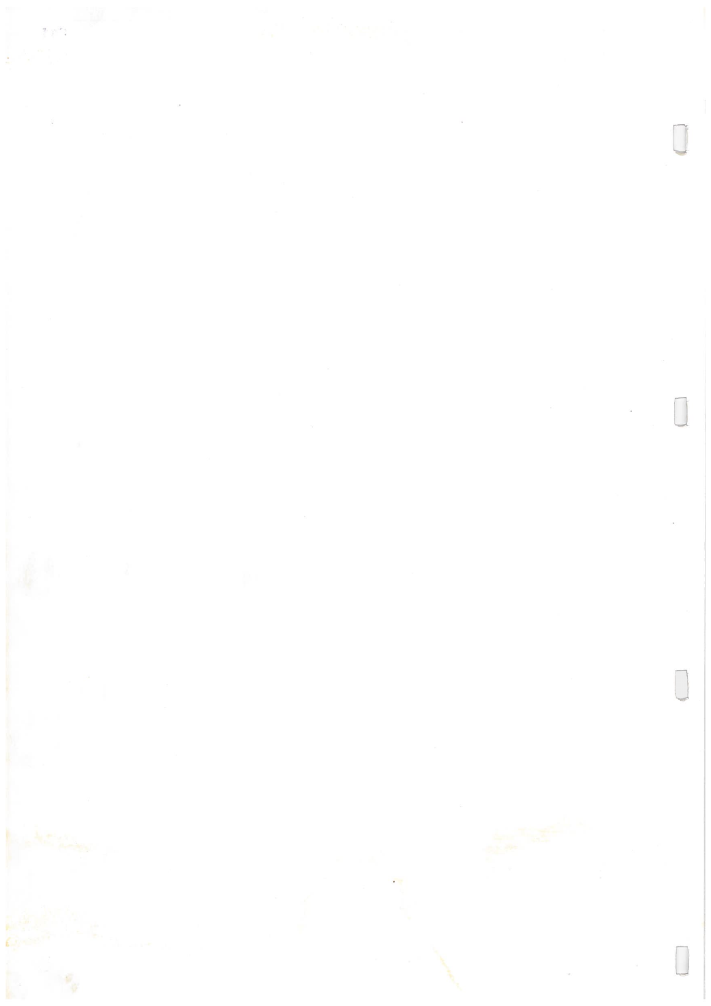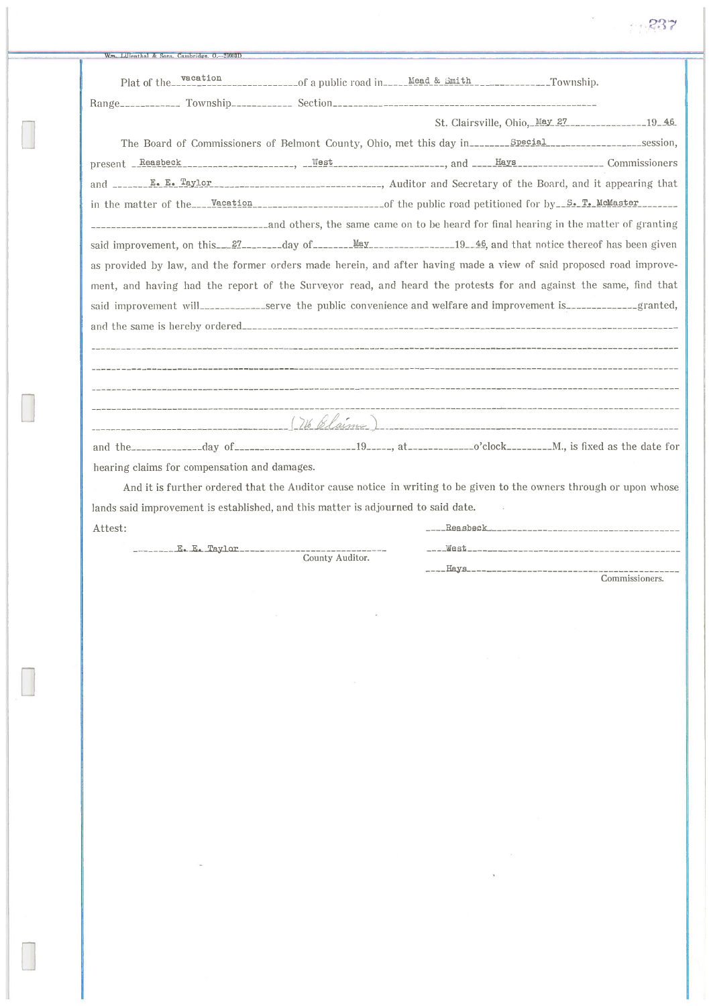|         |                                              | Plat of the <u>vacation</u> vacation contract a public road in the smith contract of the contract of a public road in- |  |                                                                                                                    |
|---------|----------------------------------------------|------------------------------------------------------------------------------------------------------------------------|--|--------------------------------------------------------------------------------------------------------------------|
|         |                                              |                                                                                                                        |  |                                                                                                                    |
|         |                                              |                                                                                                                        |  | St. Clairsville, Ohio, May 27<br>19 46                                                                             |
|         |                                              |                                                                                                                        |  | The Board of Commissioners of Belmont County, Ohio, met this day in ________Special__________________session,      |
|         |                                              |                                                                                                                        |  | present Reasbeck ___________________, West ___________________, and ____Hays _______________ Commissioners         |
|         |                                              |                                                                                                                        |  | and _______E. E. Taylor _______________________________, Auditor and Secretary of the Board, and it appearing that |
|         |                                              |                                                                                                                        |  | in the matter of the___Vacation________________________of the public road petitioned for by__S. T. McMaster_______ |
|         |                                              |                                                                                                                        |  |                                                                                                                    |
|         |                                              |                                                                                                                        |  |                                                                                                                    |
|         |                                              |                                                                                                                        |  | as provided by law, and the former orders made herein, and after having made a view of said proposed road improve- |
|         |                                              |                                                                                                                        |  | ment, and having had the report of the Surveyor read, and heard the protests for and against the same, find that   |
|         |                                              |                                                                                                                        |  | said improvement will_____________serve the public convenience and welfare and improvement is___________granted,   |
|         |                                              |                                                                                                                        |  |                                                                                                                    |
|         |                                              |                                                                                                                        |  |                                                                                                                    |
|         |                                              |                                                                                                                        |  |                                                                                                                    |
|         |                                              |                                                                                                                        |  |                                                                                                                    |
|         |                                              |                                                                                                                        |  |                                                                                                                    |
|         |                                              |                                                                                                                        |  |                                                                                                                    |
|         |                                              |                                                                                                                        |  |                                                                                                                    |
|         | hearing claims for compensation and damages. |                                                                                                                        |  |                                                                                                                    |
|         |                                              |                                                                                                                        |  | And it is further ordered that the Auditor cause notice in writing to be given to the owners through or upon whose |
|         |                                              | lands said improvement is established, and this matter is adjourned to said date.                                      |  |                                                                                                                    |
| Attest: |                                              |                                                                                                                        |  |                                                                                                                    |
|         |                                              |                                                                                                                        |  |                                                                                                                    |
|         |                                              | County Auditor.                                                                                                        |  |                                                                                                                    |
|         |                                              |                                                                                                                        |  |                                                                                                                    |

 $7.237$ 



 $\geq 8$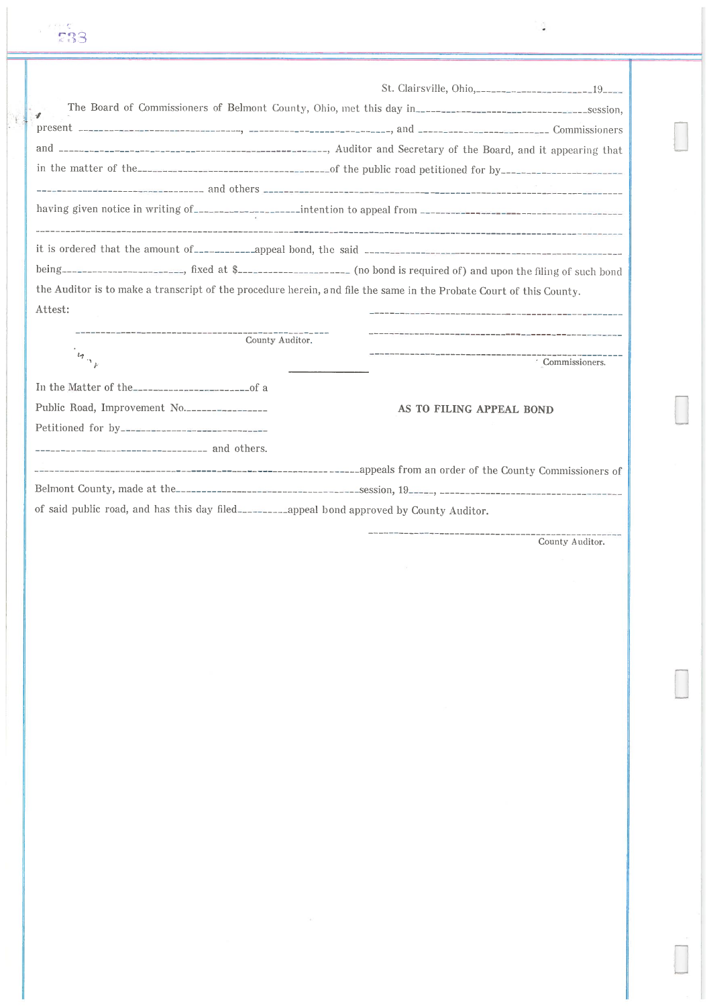| 233                                                                                           |                                                                                                                               |
|-----------------------------------------------------------------------------------------------|-------------------------------------------------------------------------------------------------------------------------------|
|                                                                                               |                                                                                                                               |
|                                                                                               | The Board of Commissioners of Belmont County, Ohio, met this day in The Content of the Session,                               |
|                                                                                               |                                                                                                                               |
|                                                                                               |                                                                                                                               |
|                                                                                               | in the matter of the_________________________________of the public road petitioned for by_______________________              |
|                                                                                               |                                                                                                                               |
|                                                                                               |                                                                                                                               |
|                                                                                               |                                                                                                                               |
|                                                                                               | being-------------------------, fixed at \$------------------------ (no bond is required of) and upon the filing of such bond |
|                                                                                               | the Auditor is to make a transcript of the procedure herein, and file the same in the Probate Court of this County.           |
| Attest:                                                                                       |                                                                                                                               |
|                                                                                               | County Auditor.                                                                                                               |
| $\frac{4q}{\gamma}$                                                                           | Commissioners.                                                                                                                |
| In the Matter of the____________________of a                                                  |                                                                                                                               |
| Public Road, Improvement No.                                                                  | AS TO FILING APPEAL BOND                                                                                                      |
| Petitioned for by------------------------------                                               |                                                                                                                               |
| ---------------------------------- and others.                                                |                                                                                                                               |
|                                                                                               |                                                                                                                               |
|                                                                                               |                                                                                                                               |
| of said public road, and has this day filed___________appeal bond approved by County Auditor. |                                                                                                                               |
|                                                                                               | County Auditor.                                                                                                               |

11

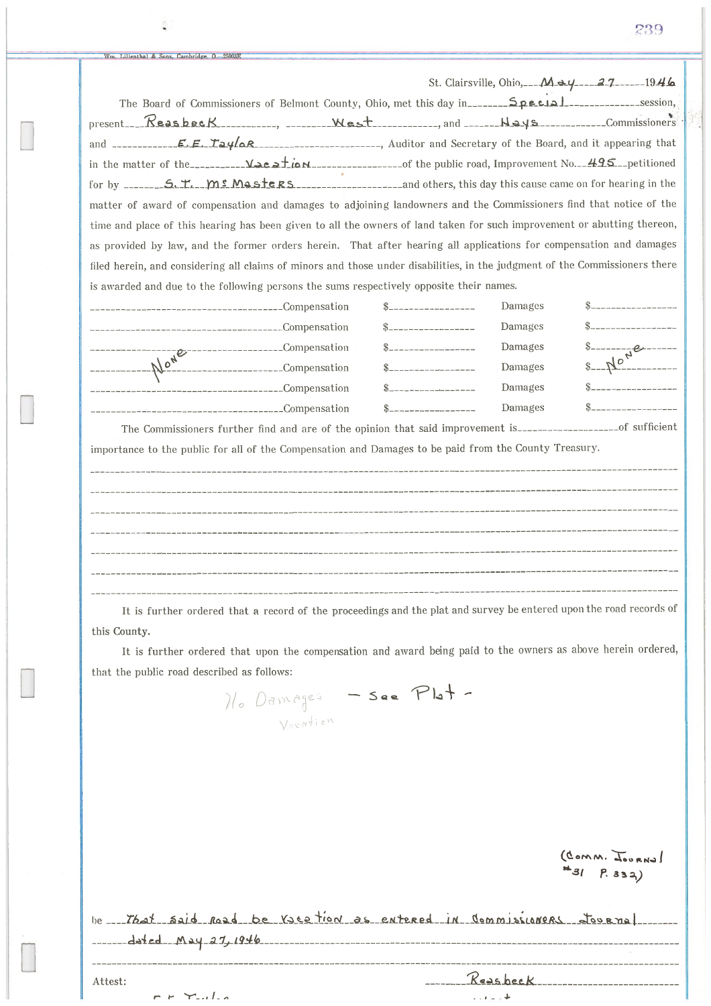|                                                                                                                                          |  |                                    |         | St. Clairsville, Ohio, $M = 4 - 2 - 1946$ |  |  |  |
|------------------------------------------------------------------------------------------------------------------------------------------|--|------------------------------------|---------|-------------------------------------------|--|--|--|
|                                                                                                                                          |  |                                    |         |                                           |  |  |  |
| present Reasbeck ___________ r_____West____________, and _______________________Commissioners                                            |  |                                    |         |                                           |  |  |  |
|                                                                                                                                          |  |                                    |         |                                           |  |  |  |
| in the matter of the $\frac{1}{\sqrt{2\pi}}$ $\frac{1}{\sqrt{2\pi}}$ in $\frac{1}{\sqrt{2\pi}}$ in the public road, Improvement No. 495. |  |                                    |         |                                           |  |  |  |
|                                                                                                                                          |  |                                    |         |                                           |  |  |  |
| matter of award of compensation and damages to adjoining landowners and the Commissioners find that notice of the                        |  |                                    |         |                                           |  |  |  |
| time and place of this hearing has been given to all the owners of land taken for such improvement or abutting thereon,                  |  |                                    |         |                                           |  |  |  |
| as provided by law, and the former orders herein. That after hearing all applications for compensation and damages                       |  |                                    |         |                                           |  |  |  |
| filed herein, and considering all claims of minors and those under disabilities, in the judgment of the Commissioners there              |  |                                    |         |                                           |  |  |  |
| is awarded and due to the following persons the sums respectively opposite their names.                                                  |  |                                    |         |                                           |  |  |  |
| -------------------------------------Compensation                                                                                        |  | $\updownarrow$ ___________________ | Damages |                                           |  |  |  |
| -------------------------------------Compensation                                                                                        |  | $\$\_$                             | Damages | $\S$ ------------------                   |  |  |  |
|                                                                                                                                          |  | \$___________________              | Damages | $s - 10^{10}$                             |  |  |  |
| Compensation                                                                                                                             |  | $\int_{-\infty}^{\infty}$          | Damages |                                           |  |  |  |
| _____________________________________Compensation                                                                                        |  |                                    | Damages |                                           |  |  |  |
|                                                                                                                                          |  | $\upbeta$ ____________________     | Damages |                                           |  |  |  |
| The Commissioners further find and are of the opinion that said improvement is___________________of sufficient                           |  |                                    |         |                                           |  |  |  |
| importance to the public for all of the Compensation and Damages to be paid from the County Treasury.                                    |  |                                    |         |                                           |  |  |  |
|                                                                                                                                          |  |                                    |         |                                           |  |  |  |
|                                                                                                                                          |  |                                    |         |                                           |  |  |  |
|                                                                                                                                          |  |                                    |         |                                           |  |  |  |

Wm. Lilienthal & Sons, Cambridge, O. -25003

It is further ordered that a record of the proceedings and the plat and survey be entered upon the road records of this County.

It is further ordered that upon the compensation and award being paid to the owners as above herein ordered, that the public road described as follows:

No Damages - See Plat-

239

(COMM. JOURNO)  $431$   $9.332$ be \_\_\_ That said nord be vice tion as entered in Commissioners Journal Reasbeck Attest:  $\mathbb{P}$  P  $\mathbb{V}$  and a set of  $\mathbb{V}$  . If  $\mathbb{P}$  is the set of  $\mathbb{V}$  is the set of  $\mathbb{V}$ 

fl Li